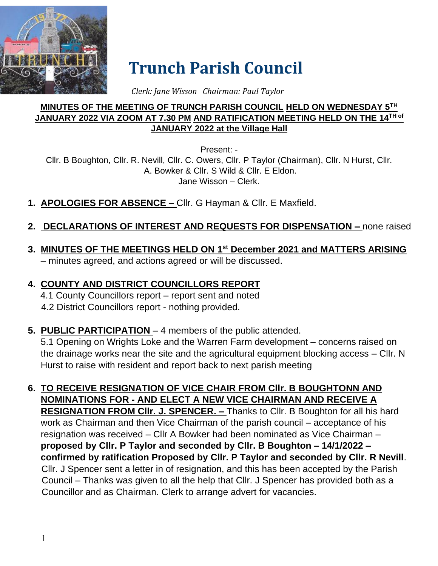

# **Trunch Parish Council**

 *Clerk: Jane Wisson Chairman: Paul Taylor*

#### **MINUTES OF THE MEETING OF TRUNCH PARISH COUNCIL HELD ON WEDNESDAY 5TH JANUARY 2022 VIA ZOOM AT 7.30 PM AND RATIFICATION MEETING HELD ON THE 14TH of JANUARY 2022 at the Village Hall**

Present: -

Cllr. B Boughton, Cllr. R. Nevill, Cllr. C. Owers, Cllr. P Taylor (Chairman), Cllr. N Hurst, Cllr. A. Bowker & Cllr. S Wild & Cllr. E Eldon. Jane Wisson – Clerk.

- **1. APOLOGIES FOR ABSENCE –** Cllr. G Hayman & Cllr. E Maxfield.
- **2. DECLARATIONS OF INTEREST AND REQUESTS FOR DISPENSATION –** none raised
- **3. MINUTES OF THE MEETINGS HELD ON 1 st December 2021 and MATTERS ARISING** – minutes agreed, and actions agreed or will be discussed.

# **4. COUNTY AND DISTRICT COUNCILLORS REPORT**

4.1 County Councillors report – report sent and noted 4.2 District Councillors report - nothing provided.

#### **5. PUBLIC PARTICIPATION** – 4 members of the public attended.

5.1 Opening on Wrights Loke and the Warren Farm development – concerns raised on the drainage works near the site and the agricultural equipment blocking access – Cllr. N Hurst to raise with resident and report back to next parish meeting

#### **6. TO RECEIVE RESIGNATION OF VICE CHAIR FROM Cllr. B BOUGHTONN AND NOMINATIONS FOR - AND ELECT A NEW VICE CHAIRMAN AND RECEIVE A RESIGNATION FROM Cllr. J. SPENCER. –** Thanks to Cllr. B Boughton for all his hard work as Chairman and then Vice Chairman of the parish council – acceptance of his resignation was received – Cllr A Bowker had been nominated as Vice Chairman – **proposed by Cllr. P Taylor and seconded by Cllr. B Boughton – 14/1/2022 – confirmed by ratification Proposed by Cllr. P Taylor and seconded by Cllr. R Nevill**. Cllr. J Spencer sent a letter in of resignation, and this has been accepted by the Parish Council – Thanks was given to all the help that Cllr. J Spencer has provided both as a Councillor and as Chairman. Clerk to arrange advert for vacancies.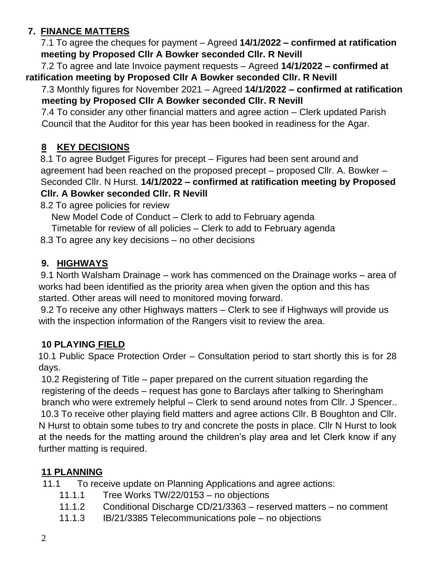### **7. FINANCE MATTERS**

7.1 To agree the cheques for payment – Agreed **14/1/2022 – confirmed at ratification meeting by Proposed Cllr A Bowker seconded Cllr. R Nevill**

 7.2 To agree and late Invoice payment requests – Agreed **14/1/2022 – confirmed at ratification meeting by Proposed Cllr A Bowker seconded Cllr. R Nevill**

#### 7.3 Monthly figures for November 2021 – Agreed **14/1/2022 – confirmed at ratification meeting by Proposed Cllr A Bowker seconded Cllr. R Nevill**

7.4 To consider any other financial matters and agree action – Clerk updated Parish Council that the Auditor for this year has been booked in readiness for the Agar.

#### **8 KEY DECISIONS**

8.1 To agree Budget Figures for precept – Figures had been sent around and agreement had been reached on the proposed precept – proposed Cllr. A. Bowker – Seconded Cllr. N Hurst. **14/1/2022 – confirmed at ratification meeting by Proposed Cllr. A Bowker seconded Cllr. R Nevill**

8.2 To agree policies for review

New Model Code of Conduct – Clerk to add to February agenda

Timetable for review of all policies – Clerk to add to February agenda

8.3 To agree any key decisions – no other decisions

#### **9. HIGHWAYS**

9.1 North Walsham Drainage – work has commenced on the Drainage works – area of works had been identified as the priority area when given the option and this has started. Other areas will need to monitored moving forward.

9.2 To receive any other Highways matters – Clerk to see if Highways will provide us with the inspection information of the Rangers visit to review the area.

#### **10 PLAYING FIELD**

10.1 Public Space Protection Order – Consultation period to start shortly this is for 28 days.

10.2 Registering of Title – paper prepared on the current situation regarding the registering of the deeds – request has gone to Barclays after talking to Sheringham branch who were extremely helpful – Clerk to send around notes from Cllr. J Spencer.. 10.3 To receive other playing field matters and agree actions Cllr. B Boughton and Cllr. N Hurst to obtain some tubes to try and concrete the posts in place. Cllr N Hurst to look at the needs for the matting around the children's play area and let Clerk know if any further matting is required.

#### **11 PLANNING**

11.1 To receive update on Planning Applications and agree actions:

- 11.1.1 Tree Works TW/22/0153 no objections
- 11.1.2 Conditional Discharge CD/21/3363 reserved matters no comment
- 11.1.3 IB/21/3385 Telecommunications pole no objections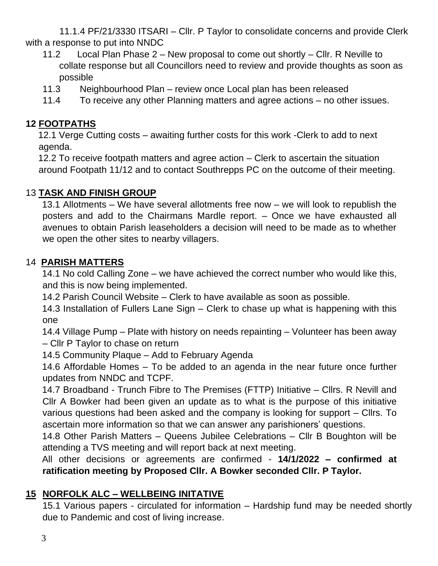11.1.4 PF/21/3330 ITSARI – Cllr. P Taylor to consolidate concerns and provide Clerk with a response to put into NNDC

- 11.2 Local Plan Phase 2 New proposal to come out shortly Cllr. R Neville to collate response but all Councillors need to review and provide thoughts as soon as possible
- 11.3 Neighbourhood Plan review once Local plan has been released
- 11.4 To receive any other Planning matters and agree actions no other issues.

#### **12 FOOTPATHS**

12.1 Verge Cutting costs – awaiting further costs for this work -Clerk to add to next agenda.

12.2 To receive footpath matters and agree action – Clerk to ascertain the situation around Footpath 11/12 and to contact Southrepps PC on the outcome of their meeting.

#### 13 **TASK AND FINISH GROUP**

13.1 Allotments – We have several allotments free now – we will look to republish the posters and add to the Chairmans Mardle report. – Once we have exhausted all avenues to obtain Parish leaseholders a decision will need to be made as to whether we open the other sites to nearby villagers.

#### 14 **PARISH MATTERS**

14.1 No cold Calling Zone – we have achieved the correct number who would like this, and this is now being implemented.

14.2 Parish Council Website – Clerk to have available as soon as possible.

14.3 Installation of Fullers Lane Sign – Clerk to chase up what is happening with this one

14.4 Village Pump – Plate with history on needs repainting – Volunteer has been away – Cllr P Taylor to chase on return

14.5 Community Plaque – Add to February Agenda

14.6 Affordable Homes – To be added to an agenda in the near future once further updates from NNDC and TCPF.

14.7 Broadband - Trunch Fibre to The Premises (FTTP) Initiative – Cllrs. R Nevill and Cllr A Bowker had been given an update as to what is the purpose of this initiative various questions had been asked and the company is looking for support – Cllrs. To ascertain more information so that we can answer any parishioners' questions.

14.8 Other Parish Matters – Queens Jubilee Celebrations – Cllr B Boughton will be attending a TVS meeting and will report back at next meeting.

All other decisions or agreements are confirmed - **14/1/2022 – confirmed at ratification meeting by Proposed Cllr. A Bowker seconded Cllr. P Taylor.**

#### **15 NORFOLK ALC – WELLBEING INITATIVE**

15.1 Various papers - circulated for information – Hardship fund may be needed shortly due to Pandemic and cost of living increase.